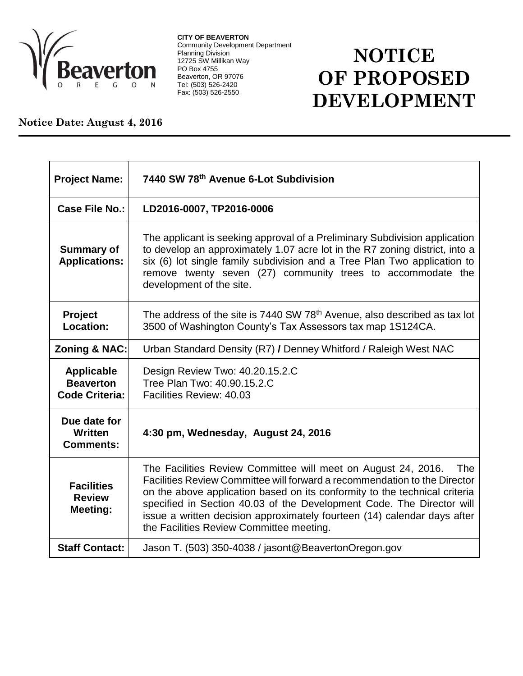

**CITY OF BEAVERTON** Community Development Department Planning Division 12725 SW Millikan Way PO Box 4755 Beaverton, OR 97076 Tel: (503) 526-2420 Fax: (503) 526-2550

## **NOTICE OF PROPOSED DEVELOPMENT**

## **Notice Date: August 4, 2016**

| <b>Project Name:</b>                                           | 7440 SW 78th Avenue 6-Lot Subdivision                                                                                                                                                                                                                                                                                                                                                                                            |
|----------------------------------------------------------------|----------------------------------------------------------------------------------------------------------------------------------------------------------------------------------------------------------------------------------------------------------------------------------------------------------------------------------------------------------------------------------------------------------------------------------|
| <b>Case File No.:</b>                                          | LD2016-0007, TP2016-0006                                                                                                                                                                                                                                                                                                                                                                                                         |
| <b>Summary of</b><br><b>Applications:</b>                      | The applicant is seeking approval of a Preliminary Subdivision application<br>to develop an approximately 1.07 acre lot in the R7 zoning district, into a<br>six (6) lot single family subdivision and a Tree Plan Two application to<br>remove twenty seven (27) community trees to accommodate the<br>development of the site.                                                                                                 |
| Project<br>Location:                                           | The address of the site is 7440 SW 78 <sup>th</sup> Avenue, also described as tax lot<br>3500 of Washington County's Tax Assessors tax map 1S124CA.                                                                                                                                                                                                                                                                              |
| <b>Zoning &amp; NAC:</b>                                       | Urban Standard Density (R7) / Denney Whitford / Raleigh West NAC                                                                                                                                                                                                                                                                                                                                                                 |
| <b>Applicable</b><br><b>Beaverton</b><br><b>Code Criteria:</b> | Design Review Two: 40.20.15.2.C<br>Tree Plan Two: 40.90.15.2.C<br>Facilities Review: 40.03                                                                                                                                                                                                                                                                                                                                       |
| Due date for<br>Written<br><b>Comments:</b>                    | 4:30 pm, Wednesday, August 24, 2016                                                                                                                                                                                                                                                                                                                                                                                              |
| <b>Facilities</b><br><b>Review</b><br><b>Meeting:</b>          | The Facilities Review Committee will meet on August 24, 2016.<br>The<br>Facilities Review Committee will forward a recommendation to the Director<br>on the above application based on its conformity to the technical criteria<br>specified in Section 40.03 of the Development Code. The Director will<br>issue a written decision approximately fourteen (14) calendar days after<br>the Facilities Review Committee meeting. |
| <b>Staff Contact:</b>                                          | Jason T. (503) 350-4038 / jasont@BeavertonOregon.gov                                                                                                                                                                                                                                                                                                                                                                             |